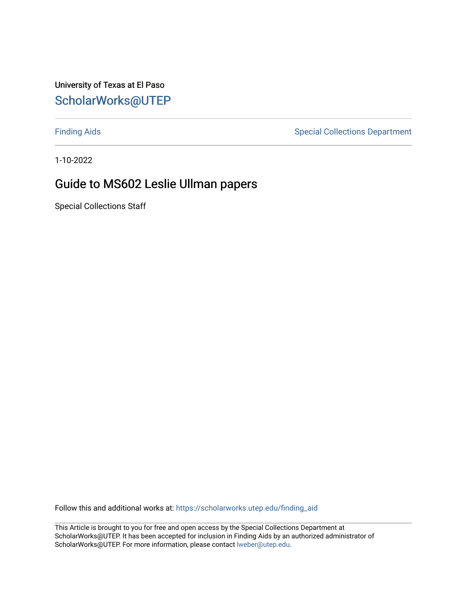University of Texas at El Paso [ScholarWorks@UTEP](https://scholarworks.utep.edu/)

[Finding Aids](https://scholarworks.utep.edu/finding_aid) **Special Collections Department** 

1-10-2022

#### Guide to MS602 Leslie Ullman papers

Special Collections Staff

Follow this and additional works at: [https://scholarworks.utep.edu/finding\\_aid](https://scholarworks.utep.edu/finding_aid?utm_source=scholarworks.utep.edu%2Ffinding_aid%2F267&utm_medium=PDF&utm_campaign=PDFCoverPages) 

This Article is brought to you for free and open access by the Special Collections Department at ScholarWorks@UTEP. It has been accepted for inclusion in Finding Aids by an authorized administrator of ScholarWorks@UTEP. For more information, please contact [lweber@utep.edu](mailto:lweber@utep.edu).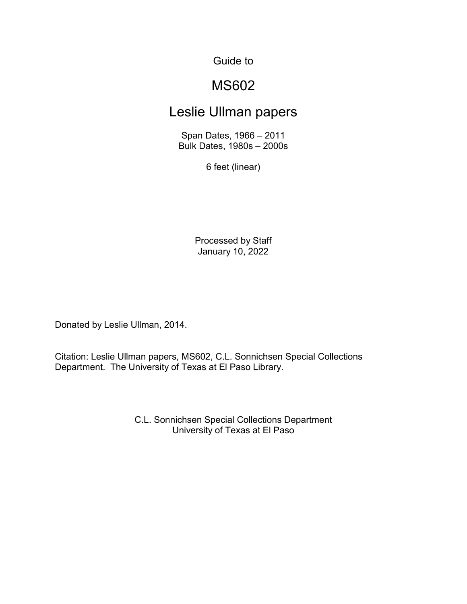Guide to

### MS602

#### Leslie Ullman papers

Span Dates, 1966 – 2011 Bulk Dates, 1980s – 2000s

6 feet (linear)

Processed by Staff January 10, 2022

Donated by Leslie Ullman, 2014.

Citation: Leslie Ullman papers, MS602, C.L. Sonnichsen Special Collections Department. The University of Texas at El Paso Library.

> C.L. Sonnichsen Special Collections Department University of Texas at El Paso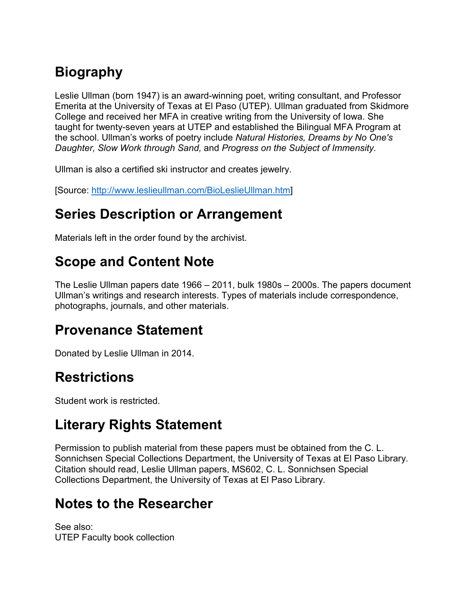# **Biography**

Leslie Ullman (born 1947) is an award-winning poet, writing consultant, and Professor Emerita at the University of Texas at El Paso (UTEP). Ullman graduated from Skidmore College and received her MFA in creative writing from the University of Iowa. She taught for twenty-seven years at UTEP and established the Bilingual MFA Program at the school. Ullman's works of poetry include *Natural Histories, Dreams by No One's Daughter, Slow Work through Sand,* and *Progress on the Subject of Immensity.*

Ullman is also a certified ski instructor and creates jewelry.

[Source: [http://www.leslieullman.com/BioLeslieUllman.htm\]](http://www.leslieullman.com/BioLeslieUllman.htm)

#### **Series Description or Arrangement**

Materials left in the order found by the archivist.

## **Scope and Content Note**

The Leslie Ullman papers date 1966 – 2011, bulk 1980s – 2000s. The papers document Ullman's writings and research interests. Types of materials include correspondence, photographs, journals, and other materials.

#### **Provenance Statement**

Donated by Leslie Ullman in 2014.

## **Restrictions**

Student work is restricted.

## **Literary Rights Statement**

Permission to publish material from these papers must be obtained from the C. L. Sonnichsen Special Collections Department, the University of Texas at El Paso Library. Citation should read, Leslie Ullman papers, MS602, C. L. Sonnichsen Special Collections Department, the University of Texas at El Paso Library.

## **Notes to the Researcher**

See also: UTEP Faculty book collection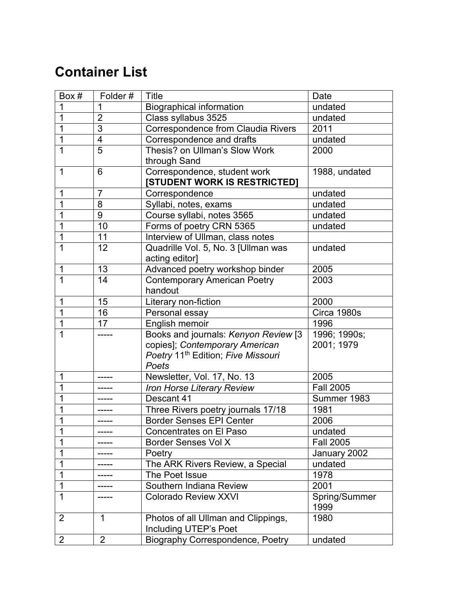## **Container List**

| Box #          | Folder#        | Title                                          | Date             |
|----------------|----------------|------------------------------------------------|------------------|
| 1              | 1              | <b>Biographical information</b>                | undated          |
| 1              | $\overline{2}$ | Class syllabus 3525                            | undated          |
| 1              | $\overline{3}$ | <b>Correspondence from Claudia Rivers</b>      | 2011             |
| 1              | $\overline{4}$ | Correspondence and drafts                      | undated          |
| 1              | $\overline{5}$ | Thesis? on Ullman's Slow Work                  | 2000             |
|                |                | through Sand                                   |                  |
| 1              | 6              | Correspondence, student work                   | 1988, undated    |
|                |                | [STUDENT WORK IS RESTRICTED]                   |                  |
| 1              | $\overline{7}$ | Correspondence                                 | undated          |
| 1              | 8              | Syllabi, notes, exams                          | undated          |
| 1              | 9              | Course syllabi, notes 3565                     | undated          |
| 1              | 10             | Forms of poetry CRN 5365                       | undated          |
|                | 11             | Interview of Ullman, class notes               |                  |
| 1              | 12             | Quadrille Vol. 5, No. 3 [Ullman was            | undated          |
|                |                | acting editor]                                 |                  |
| 1              | 13             | Advanced poetry workshop binder                | 2005             |
| 1              | 14             | <b>Contemporary American Poetry</b>            | 2003             |
|                |                | handout                                        |                  |
| $\mathbf 1$    | 15             | Literary non-fiction                           | 2000             |
| 1              | 16             | Personal essay                                 | Circa 1980s      |
| 1              | 17             | English memoir                                 | 1996             |
| 1              |                | Books and journals: Kenyon Review [3           | 1996; 1990s;     |
|                |                | copies]; Contemporary American                 | 2001; 1979       |
|                |                | Poetry 11 <sup>th</sup> Edition; Five Missouri |                  |
|                |                | Poets                                          |                  |
| 1              |                | Newsletter, Vol. 17, No. 13                    | 2005             |
| 1              |                | Iron Horse Literary Review                     | <b>Fall 2005</b> |
| 1              |                | Descant 41                                     | Summer 1983      |
| 1              |                | Three Rivers poetry journals 17/18             | 1981             |
| 1              |                | <b>Border Senses EPI Center</b>                | 2006             |
| $\overline{1}$ |                | Concentrates on El Paso                        | undated          |
| 1              | -----          | <b>Border Senses Vol X</b>                     | <b>Fall 2005</b> |
| 1              |                | Poetry                                         | January 2002     |
| 1              |                | The ARK Rivers Review, a Special               | undated          |
| 1              |                | The Poet Issue                                 | 1978             |
| 1              |                | Southern Indiana Review                        | 2001             |
| 1              |                | <b>Colorado Review XXVI</b>                    | Spring/Summer    |
|                |                |                                                | 1999             |
| $\overline{2}$ | $\mathbf 1$    | Photos of all Ullman and Clippings,            | 1980             |
|                |                | Including UTEP's Poet                          |                  |
| 2              | 2              | <b>Biography Correspondence, Poetry</b>        | undated          |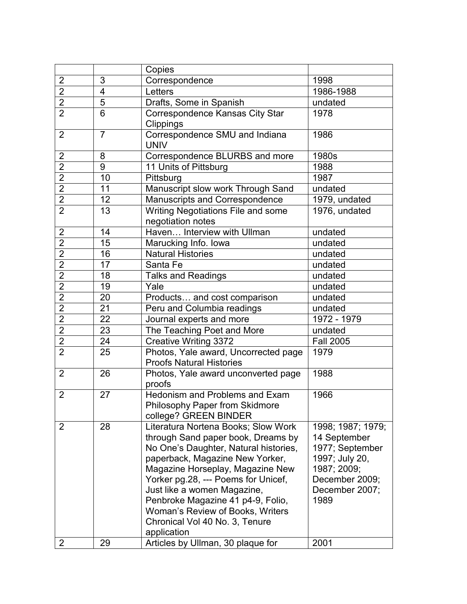|                |                | Copies                                                                                                                                                                                                                                                                                                                                                                                    |                                                                                                                                   |
|----------------|----------------|-------------------------------------------------------------------------------------------------------------------------------------------------------------------------------------------------------------------------------------------------------------------------------------------------------------------------------------------------------------------------------------------|-----------------------------------------------------------------------------------------------------------------------------------|
| $\overline{2}$ | 3              | Correspondence                                                                                                                                                                                                                                                                                                                                                                            | 1998                                                                                                                              |
| $\overline{2}$ | 4              | Letters                                                                                                                                                                                                                                                                                                                                                                                   | 1986-1988                                                                                                                         |
| $\overline{2}$ | 5              | Drafts, Some in Spanish                                                                                                                                                                                                                                                                                                                                                                   | undated                                                                                                                           |
| $\overline{2}$ | 6              | Correspondence Kansas City Star                                                                                                                                                                                                                                                                                                                                                           | 1978                                                                                                                              |
| $\overline{2}$ | $\overline{7}$ | Clippings                                                                                                                                                                                                                                                                                                                                                                                 |                                                                                                                                   |
|                |                | Correspondence SMU and Indiana<br><b>UNIV</b>                                                                                                                                                                                                                                                                                                                                             | 1986                                                                                                                              |
| 2              | 8              | Correspondence BLURBS and more                                                                                                                                                                                                                                                                                                                                                            | 1980s                                                                                                                             |
| $\overline{2}$ | 9              | 11 Units of Pittsburg                                                                                                                                                                                                                                                                                                                                                                     | 1988                                                                                                                              |
| $\overline{2}$ | 10             | Pittsburg                                                                                                                                                                                                                                                                                                                                                                                 | 1987                                                                                                                              |
| $\overline{2}$ | 11             | Manuscript slow work Through Sand                                                                                                                                                                                                                                                                                                                                                         | undated                                                                                                                           |
| $\overline{2}$ | 12             | Manuscripts and Correspondence                                                                                                                                                                                                                                                                                                                                                            | 1979, undated                                                                                                                     |
| $\overline{2}$ | 13             | Writing Negotiations File and some<br>negotiation notes                                                                                                                                                                                                                                                                                                                                   | 1976, undated                                                                                                                     |
| $\overline{2}$ | 14             | Haven Interview with Ullman                                                                                                                                                                                                                                                                                                                                                               | undated                                                                                                                           |
| $\overline{2}$ | 15             | Marucking Info. Iowa                                                                                                                                                                                                                                                                                                                                                                      | undated                                                                                                                           |
| $\overline{2}$ | 16             | <b>Natural Histories</b>                                                                                                                                                                                                                                                                                                                                                                  | undated                                                                                                                           |
| $\overline{2}$ | 17             | Santa Fe                                                                                                                                                                                                                                                                                                                                                                                  | undated                                                                                                                           |
| $\overline{2}$ | 18             | <b>Talks and Readings</b>                                                                                                                                                                                                                                                                                                                                                                 | undated                                                                                                                           |
| $\overline{2}$ | 19             | Yale                                                                                                                                                                                                                                                                                                                                                                                      | undated                                                                                                                           |
| $\overline{2}$ | 20             | Products and cost comparison                                                                                                                                                                                                                                                                                                                                                              | undated                                                                                                                           |
| $\overline{2}$ | 21             | Peru and Columbia readings                                                                                                                                                                                                                                                                                                                                                                | undated                                                                                                                           |
| $\overline{2}$ | 22             | Journal experts and more                                                                                                                                                                                                                                                                                                                                                                  | $\overline{1972}$ - 1979                                                                                                          |
| $\overline{2}$ | 23             | The Teaching Poet and More                                                                                                                                                                                                                                                                                                                                                                | undated                                                                                                                           |
| $\overline{2}$ | 24             | <b>Creative Writing 3372</b>                                                                                                                                                                                                                                                                                                                                                              | <b>Fall 2005</b>                                                                                                                  |
| $\overline{2}$ | 25             | Photos, Yale award, Uncorrected page<br><b>Proofs Natural Histories</b>                                                                                                                                                                                                                                                                                                                   | 1979                                                                                                                              |
| $\overline{2}$ | 26             | Photos, Yale award unconverted page<br>proofs                                                                                                                                                                                                                                                                                                                                             | 1988                                                                                                                              |
| $\overline{2}$ | 27             | <b>Hedonism and Problems and Exam</b><br>Philosophy Paper from Skidmore<br>college? GREEN BINDER                                                                                                                                                                                                                                                                                          | 1966                                                                                                                              |
| 2              | 28             | Literatura Nortena Books; Slow Work<br>through Sand paper book, Dreams by<br>No One's Daughter, Natural histories,<br>paperback, Magazine New Yorker,<br>Magazine Horseplay, Magazine New<br>Yorker pg.28, --- Poems for Unicef,<br>Just like a women Magazine,<br>Penbroke Magazine 41 p4-9, Folio,<br>Woman's Review of Books, Writers<br>Chronical Vol 40 No. 3, Tenure<br>application | 1998; 1987; 1979;<br>14 September<br>1977; September<br>1997; July 20,<br>1987; 2009;<br>December 2009;<br>December 2007;<br>1989 |
| 2              | 29             | Articles by Ullman, 30 plaque for                                                                                                                                                                                                                                                                                                                                                         | 2001                                                                                                                              |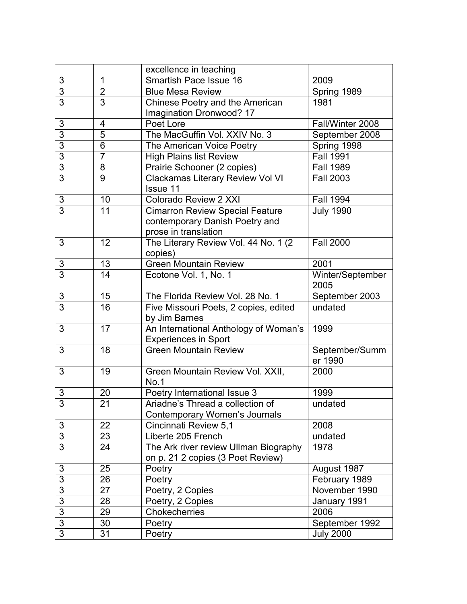|                |                | excellence in teaching                  |                  |
|----------------|----------------|-----------------------------------------|------------------|
| $\mathbf{3}$   | $\mathbf 1$    | <b>Smartish Pace Issue 16</b>           | 2009             |
| $\overline{3}$ | $\overline{2}$ | <b>Blue Mesa Review</b>                 | Spring 1989      |
| $\overline{3}$ | 3              | Chinese Poetry and the American         | 1981             |
|                |                | Imagination Dronwood? 17                |                  |
| 3              | 4              | Poet Lore                               | Fall/Winter 2008 |
| $\overline{3}$ | 5              | The MacGuffin Vol. XXIV No. 3           | September 2008   |
| 3              | 6              | The American Voice Poetry               | Spring 1998      |
| 3              | $\overline{7}$ | <b>High Plains list Review</b>          | <b>Fall 1991</b> |
| $\overline{3}$ | 8              | Prairie Schooner (2 copies)             | <b>Fall 1989</b> |
| $\overline{3}$ | 9              | <b>Clackamas Literary Review Vol VI</b> | <b>Fall 2003</b> |
|                |                | <b>Issue 11</b>                         |                  |
| 3              | 10             | Colorado Review 2 XXI                   | <b>Fall 1994</b> |
| $\overline{3}$ | 11             | <b>Cimarron Review Special Feature</b>  | <b>July 1990</b> |
|                |                | contemporary Danish Poetry and          |                  |
|                |                | prose in translation                    |                  |
| 3              | 12             | The Literary Review Vol. 44 No. 1 (2)   | <b>Fall 2000</b> |
|                |                | copies)                                 |                  |
| 3              | 13             | <b>Green Mountain Review</b>            | 2001             |
| $\overline{3}$ | 14             | Ecotone Vol. 1, No. 1                   | Winter/September |
|                |                |                                         | 2005             |
| $\mathfrak{B}$ | 15             | The Florida Review Vol. 28 No. 1        | September 2003   |
| 3              | 16             | Five Missouri Poets, 2 copies, edited   | undated          |
|                |                | by Jim Barnes                           |                  |
| 3              | 17             | An International Anthology of Woman's   | 1999             |
|                |                | <b>Experiences in Sport</b>             |                  |
| 3              | 18             | <b>Green Mountain Review</b>            | September/Summ   |
|                |                |                                         | er 1990          |
| 3              | 19             | Green Mountain Review Vol. XXII,        | 2000             |
|                |                | No.1                                    |                  |
| 3              | 20             | Poetry International Issue 3            | 1999             |
| ্য             | 21             | Ariadne's Thread a collection of        | undated          |
|                |                | <b>Contemporary Women's Journals</b>    |                  |
| 3              | 22             | Cincinnati Review 5,1                   | 2008             |
| $\overline{3}$ | 23             | Liberte 205 French                      | undated          |
| $\overline{3}$ | 24             | The Ark river review Ullman Biography   | 1978             |
|                |                | on p. 21 2 copies (3 Poet Review)       |                  |
| 3              | 25             | Poetry                                  | August 1987      |
| $\sqrt{3}$     | 26             | Poetry                                  | February 1989    |
| 3              | 27             | Poetry, 2 Copies                        | November 1990    |
| $\overline{3}$ | 28             | Poetry, 2 Copies                        | January 1991     |
| 3              | 29             | Chokecherries                           | 2006             |
| 3              | 30             | Poetry                                  | September 1992   |
| 3              | 31             | Poetry                                  | <b>July 2000</b> |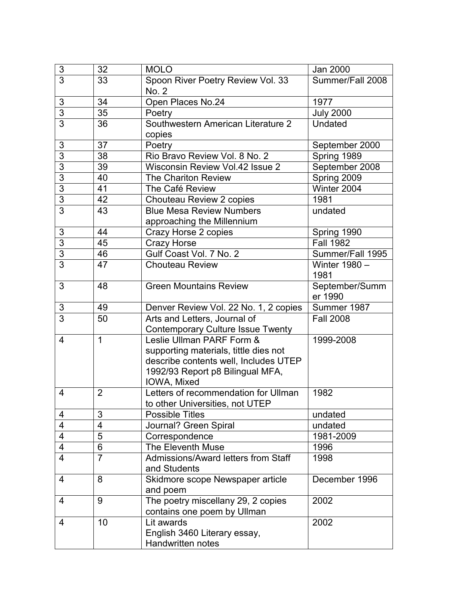| $\mathsf 3$    | 32             | <b>MOLO</b>                              | Jan 2000         |
|----------------|----------------|------------------------------------------|------------------|
| $\overline{3}$ | 33             | Spoon River Poetry Review Vol. 33        | Summer/Fall 2008 |
|                |                | No. 2                                    |                  |
| 3              | 34             | Open Places No.24                        | 1977             |
| $\overline{3}$ | 35             | Poetry                                   | <b>July 2000</b> |
| $\overline{3}$ | 36             | Southwestern American Literature 2       | Undated          |
|                |                | copies                                   |                  |
| $\mathfrak{B}$ | 37             | Poetry                                   | September 2000   |
| $\overline{3}$ | 38             | Rio Bravo Review Vol. 8 No. 2            | Spring 1989      |
| $\overline{3}$ | 39             | Wisconsin Review Vol.42 Issue 2          | September 2008   |
| $\overline{3}$ | 40             | The Chariton Review                      | Spring 2009      |
| $\overline{3}$ | 41             | The Café Review                          | Winter 2004      |
| $\overline{3}$ | 42             | Chouteau Review 2 copies                 | 1981             |
| $\overline{3}$ | 43             | <b>Blue Mesa Review Numbers</b>          | undated          |
|                |                | approaching the Millennium               |                  |
| $\sqrt{3}$     | 44             | Crazy Horse 2 copies                     | Spring 1990      |
| $\overline{3}$ | 45             | <b>Crazy Horse</b>                       | <b>Fall 1982</b> |
| $\overline{3}$ | 46             | Gulf Coast Vol. 7 No. 2                  | Summer/Fall 1995 |
| $\overline{3}$ | 47             | <b>Chouteau Review</b>                   | Winter 1980 -    |
|                |                |                                          | 1981             |
| 3              | 48             | Green Mountains Review                   | September/Summ   |
|                |                |                                          | er 1990          |
| 3              | 49             | Denver Review Vol. 22 No. 1, 2 copies    | Summer 1987      |
| $\overline{3}$ | 50             | Arts and Letters, Journal of             | <b>Fall 2008</b> |
|                |                | <b>Contemporary Culture Issue Twenty</b> |                  |
| $\overline{4}$ | $\mathbf{1}$   | Leslie Ullman PARF Form &                | 1999-2008        |
|                |                | supporting materials, tittle dies not    |                  |
|                |                | describe contents well, Includes UTEP    |                  |
|                |                | 1992/93 Report p8 Bilingual MFA,         |                  |
|                |                | IOWA, Mixed                              |                  |
| $\overline{4}$ | $\overline{2}$ | Letters of recommendation for Ullman     | 1982             |
|                |                | to other Universities, not UTEP          |                  |
| 4              | 3              | <b>Possible Titles</b>                   | undated          |
| $\overline{4}$ | 4              | Journal? Green Spiral                    | undated          |
| $\overline{4}$ | $\overline{5}$ | Correspondence                           | 1981-2009        |
| $\overline{4}$ | 6              | The Eleventh Muse                        | 1996             |
| $\overline{4}$ | $\overline{7}$ | Admissions/Award letters from Staff      | 1998             |
|                |                | and Students                             |                  |
| $\overline{4}$ | 8              | Skidmore scope Newspaper article         | December 1996    |
|                |                | and poem                                 |                  |
| 4              | 9              | The poetry miscellany 29, 2 copies       | 2002             |
|                |                | contains one poem by Ullman              |                  |
| 4              | 10             | Lit awards                               | 2002             |
|                |                | English 3460 Literary essay,             |                  |
|                |                | <b>Handwritten notes</b>                 |                  |